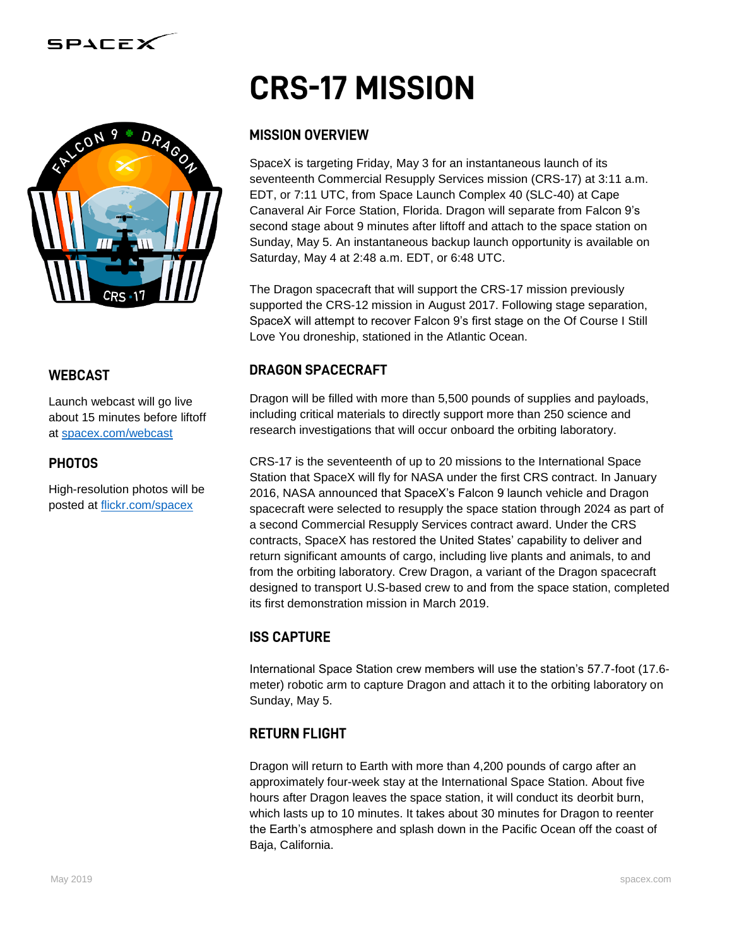



#### **WEBCAST**

Launch webcast will go live about 15 minutes before liftoff at [spacex.com/webcast](http://www.spacex.com/webcast)

#### **PHOTOS**

High-resolution photos will be posted at [flickr.com/spacex](http://www.flickr.com/spacex)

# **CRS-17 MISSION**

## **MISSION OVERVIEW**

SpaceX is targeting Friday, May 3 for an instantaneous launch of its seventeenth Commercial Resupply Services mission (CRS-17) at 3:11 a.m. EDT, or 7:11 UTC, from Space Launch Complex 40 (SLC-40) at Cape Canaveral Air Force Station, Florida. Dragon will separate from Falcon 9's second stage about 9 minutes after liftoff and attach to the space station on Sunday, May 5. An instantaneous backup launch opportunity is available on Saturday, May 4 at 2:48 a.m. EDT, or 6:48 UTC.

The Dragon spacecraft that will support the CRS-17 mission previously supported the CRS-12 mission in August 2017. Following stage separation, SpaceX will attempt to recover Falcon 9's first stage on the Of Course I Still Love You droneship, stationed in the Atlantic Ocean.

## **DRAGON SPACECRAFT**

Dragon will be filled with more than 5,500 pounds of supplies and payloads, including critical materials to directly support more than 250 science and research investigations that will occur onboard the orbiting laboratory.

CRS-17 is the seventeenth of up to 20 missions to the International Space Station that SpaceX will fly for NASA under the first CRS contract. In January 2016, NASA announced that SpaceX's Falcon 9 launch vehicle and Dragon spacecraft were selected to resupply the space station through 2024 as part of a second Commercial Resupply Services contract award. Under the CRS contracts, SpaceX has restored the United States' capability to deliver and return significant amounts of cargo, including live plants and animals, to and from the orbiting laboratory. Crew Dragon, a variant of the Dragon spacecraft designed to transport U.S-based crew to and from the space station, completed its first demonstration mission in March 2019.

## **ISS CAPTURE**

International Space Station crew members will use the station's 57.7-foot (17.6 meter) robotic arm to capture Dragon and attach it to the orbiting laboratory on Sunday, May 5.

## **RETURN FLIGHT**

Dragon will return to Earth with more than 4,200 pounds of cargo after an approximately four-week stay at the International Space Station. About five hours after Dragon leaves the space station, it will conduct its deorbit burn, which lasts up to 10 minutes. It takes about 30 minutes for Dragon to reenter the Earth's atmosphere and splash down in the Pacific Ocean off the coast of Baja, California.